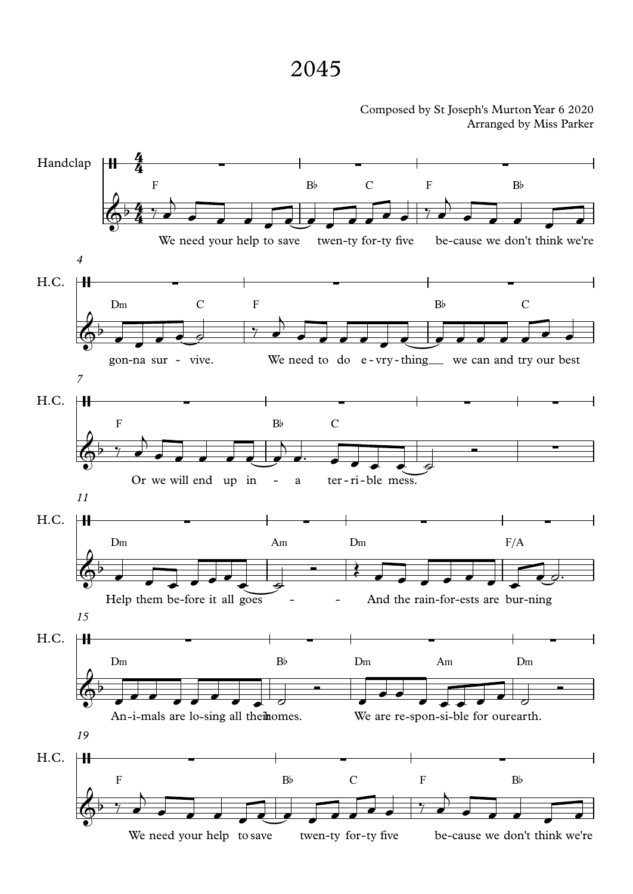## 2045

Composed by St Joseph's MurtonYear 6 2020 Arranged by Miss Parker

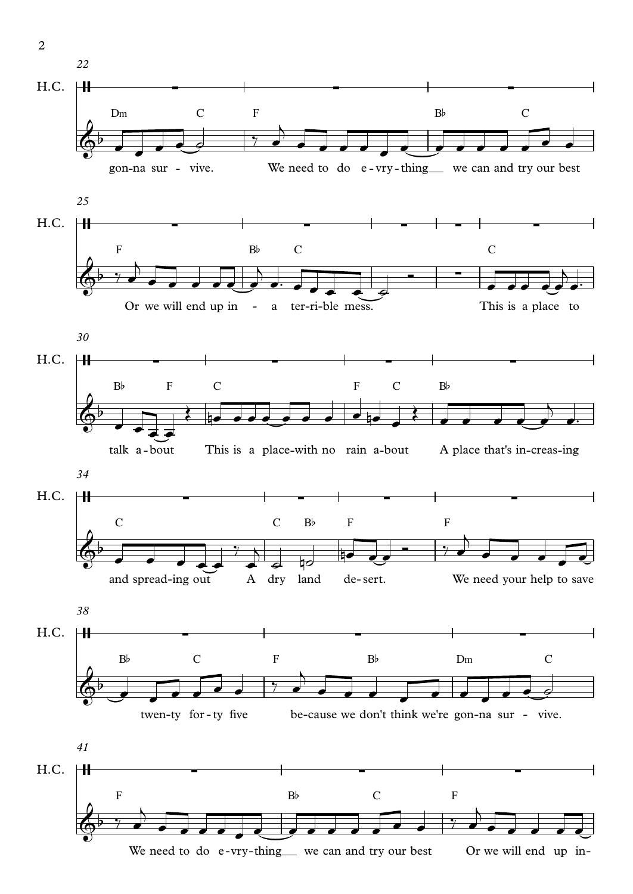

2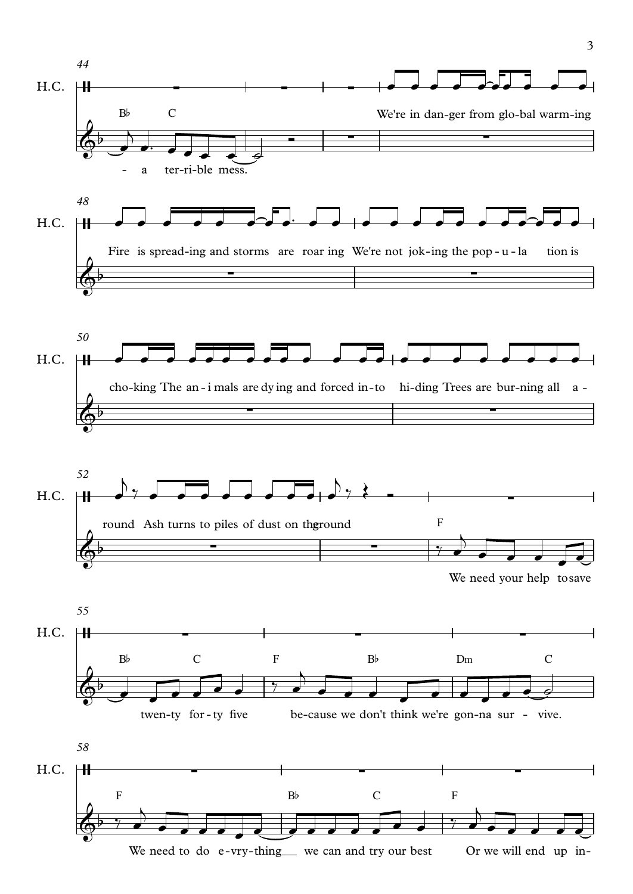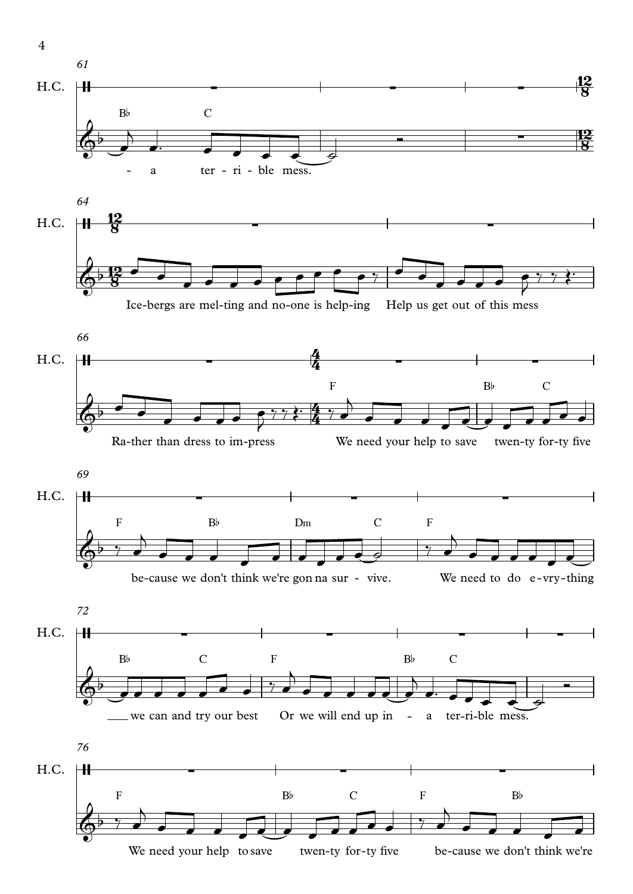

4